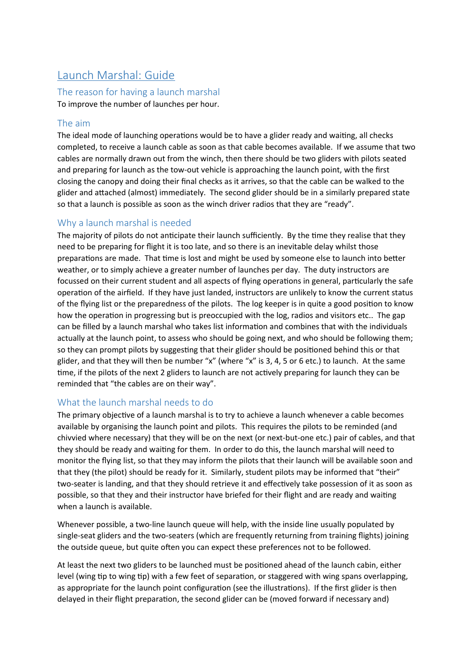# Launch Marshal: Guide

# The reason for having a launch marshal

To improve the number of launches per hour.

### The aim

The ideal mode of launching operations would be to have a glider ready and waiting, all checks completed, to receive a launch cable as soon as that cable becomes available. If we assume that two cables are normally drawn out from the winch, then there should be two gliders with pilots seated and preparing for launch as the tow-out vehicle is approaching the launch point, with the first closing the canopy and doing their final checks as it arrives, so that the cable can be walked to the glider and atached (almost) immediately. The second glider should be in a similarly prepared state so that a launch is possible as soon as the winch driver radios that they are "ready".

#### Why a launch marshal is needed

The majority of pilots do not anticipate their launch sufficiently. By the time they realise that they need to be preparing for flight it is too late, and so there is an inevitable delay whilst those preparations are made. That time is lost and might be used by someone else to launch into better weather, or to simply achieve a greater number of launches per day. The duty instructors are focussed on their current student and all aspects of flying operations in general, particularly the safe operation of the airfield. If they have just landed, instructors are unlikely to know the current status of the flying list or the preparedness of the pilots. The log keeper is in quite a good position to know how the operation in progressing but is preoccupied with the log, radios and visitors etc.. The gap can be filled by a launch marshal who takes list information and combines that with the individuals actually at the launch point, to assess who should be going next, and who should be following them; so they can prompt pilots by suggesting that their glider should be positioned behind this or that glider, and that they will then be number "x" (where "x" is 3, 4, 5 or 6 etc.) to launch. At the same time, if the pilots of the next 2 gliders to launch are not actively preparing for launch they can be reminded that "the cables are on their way".

## What the launch marshal needs to do

The primary objective of a launch marshal is to try to achieve a launch whenever a cable becomes available by organising the launch point and pilots. This requires the pilots to be reminded (and chivvied where necessary) that they will be on the next (or next-but-one etc.) pair of cables, and that they should be ready and waiting for them. In order to do this, the launch marshal will need to monitor the flying list, so that they may inform the pilots that their launch will be available soon and that they (the pilot) should be ready for it. Similarly, student pilots may be informed that "their" two-seater is landing, and that they should retrieve it and effectively take possession of it as soon as possible, so that they and their instructor have briefed for their flight and are ready and waiting when a launch is available.

Whenever possible, a two-line launch queue will help, with the inside line usually populated by single-seat gliders and the two-seaters (which are frequently returning from training flights) joining the outside queue, but quite often you can expect these preferences not to be followed.

At least the next two gliders to be launched must be positioned ahead of the launch cabin, either level (wing tip to wing tip) with a few feet of separation, or staggered with wing spans overlapping, as appropriate for the launch point configuration (see the illustrations). If the first glider is then delayed in their flight preparation, the second glider can be (moved forward if necessary and)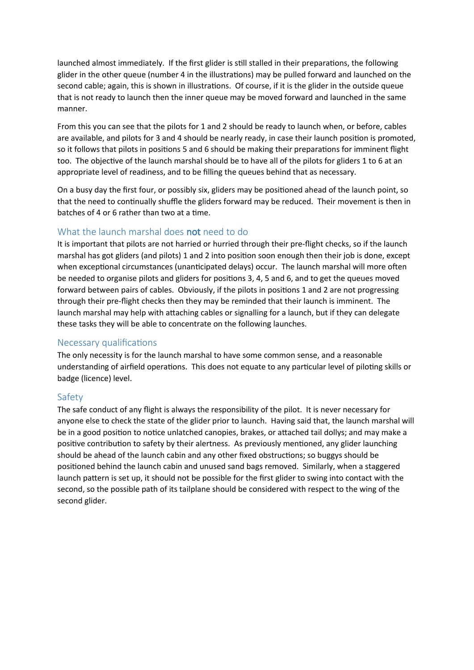launched almost immediately. If the first glider is still stalled in their preparations, the following glider in the other queue (number 4 in the illustrations) may be pulled forward and launched on the second cable; again, this is shown in illustrations. Of course, if it is the glider in the outside queue that is not ready to launch then the inner queue may be moved forward and launched in the same manner.

From this you can see that the pilots for 1 and 2 should be ready to launch when, or before, cables are available, and pilots for 3 and 4 should be nearly ready, in case their launch position is promoted, so it follows that pilots in positions 5 and 6 should be making their preparations for imminent flight too. The objective of the launch marshal should be to have all of the pilots for gliders 1 to 6 at an appropriate level of readiness, and to be filling the queues behind that as necessary.

On a busy day the first four, or possibly six, gliders may be positioned ahead of the launch point, so that the need to continually shuffle the gliders forward may be reduced. Their movement is then in batches of 4 or 6 rather than two at a time.

## What the launch marshal does **not** need to do

It is important that pilots are not harried or hurried through their pre-flight checks, so if the launch marshal has got gliders (and pilots) 1 and 2 into position soon enough then their job is done, except when exceptional circumstances (unanticipated delays) occur. The launch marshal will more often be needed to organise pilots and gliders for positions 3, 4, 5 and 6, and to get the queues moved forward between pairs of cables. Obviously, if the pilots in positions 1 and 2 are not progressing through their pre-fight checks then they may be reminded that their launch is imminent. The launch marshal may help with attaching cables or signalling for a launch, but if they can delegate these tasks they will be able to concentrate on the following launches.

#### Necessary qualifications

The only necessity is for the launch marshal to have some common sense, and a reasonable understanding of airfield operations. This does not equate to any particular level of piloting skills or badge (licence) level.

#### Safety

The safe conduct of any flight is always the responsibility of the pilot. It is never necessary for anyone else to check the state of the glider prior to launch. Having said that, the launch marshal will be in a good position to notice unlatched canopies, brakes, or attached tail dollys; and may make a positive contribution to safety by their alertness. As previously mentioned, any glider launching should be ahead of the launch cabin and any other fxed obstructons; so buggys should be positioned behind the launch cabin and unused sand bags removed. Similarly, when a staggered launch pattern is set up, it should not be possible for the first glider to swing into contact with the second, so the possible path of its tailplane should be considered with respect to the wing of the second glider.